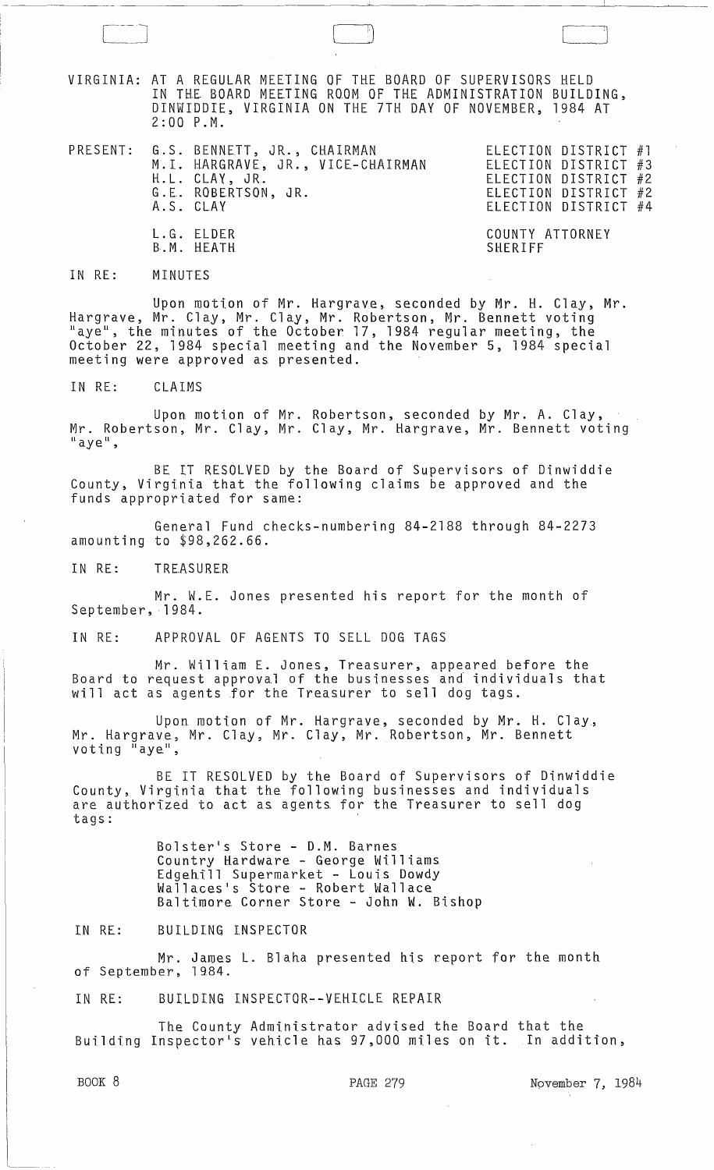VIRGINIA: AT A REGULAR MEETING OF THE BOARD OF SUPERVISORS HELD IN THE BOARD MEETING ROOM OF THE ADMINISTRATION BUILDING, DINWIDDIE, VIRGINIA ON THE 7TH DAY OF NOVEMBER, 1984 AT 2:00 P.M.

 $\begin{pmatrix} 1 & 1 \\ 1 & 1 \end{pmatrix}$ 

|  | PRESENT: G.S. BENNETT, JR., CHAIRMAN<br>M.I. HARGRAVE, JR., VICE-CHAIRMAN<br>H.L. CLAY, JR.<br>G.E. ROBERTSON, JR.<br>A.S. CLAY | ELECTION DISTRICT #1<br>ELECTION DISTRICT #3<br>ELECTION DISTRICT #2<br>ELECTION DISTRICT #2<br>ELECTION DISTRICT #4 |
|--|---------------------------------------------------------------------------------------------------------------------------------|----------------------------------------------------------------------------------------------------------------------|
|  | L.G. ELDER<br>B.M. HEATH                                                                                                        | COUNTY ATTORNEY<br>SHERIFF                                                                                           |

## IN RE: MINUTES

Upon motion of Mr. Hargrave, seconded by Mr. H. Clay, Mr. Hargrave, Mr. Clay, Mr. Clay, Mr. Robertson, Mr. Bennett voting "aye", the minutes of the October 17, 1984 regular meeting, the October 22, 1984 special meeting and the November 5, 1984 special meeting were approved as presented.

IN RE: CLAIMS

Upon motion of Mr. Robertson, seconded by Mr. A. Clay, Mr. Robertson, Mr. Clay, Mr. Clay, Mr. Hargrave, Mr. Bennett voting<br>"aye",

BE IT RESOLVED by the Board of Supervisors of Dinwiddie County, Virginia that the following claims be approved and the funds appropriated for same:

General Fund checks-numbering 84-2188 through 84-2273 amounting to \$98,262.66.

IN RE: TREASURER

Mr. W.E. Jones presented his report for the month of September, 1984.

IN RE: APPROVAL OF AGENTS TO SELL DOG TAGS

Mr. William E. Jones, Treasurer, appeared before the Board to request approval of the businesses and individuals that will act as agents for the Treasurer to sell dog tags.

Upon motion of Mr. Hargrave, seconded by Mr. H. Clay, Mr. Hargrave, Mr. Clay, Mr. Clay, Mr. Robertson, Mr. Bennett voting  $\tilde{I}$  aye",

BE IT RESOLVED by the Board of Supervisors of Dinwiddie County, Virginia that the following businesses and individuals are authorized to act as agents for the Treasurer to sell dog ard agonomized be door de agence you<br>tags:

> Bolster's Store - D.M. Barnes Country Hardware - George Williams Edgehill Supermarket - Louis Dowdy Wallaces's Store - Robert Wallace Baltimore Corner Store - John W. Bishop

IN RE: BUILDING INSPECTOR

Mr. James L. Blaha presented his report for the month of September, 1984.

IN RE: BUILDING INSPECTOR--VEHICLE REPAIR

The County Administrator advised the Board that the Building Inspector's vehicle has 97,000 miles on it. In addition,

BOOK 8 PAGE 279 November 7, 1984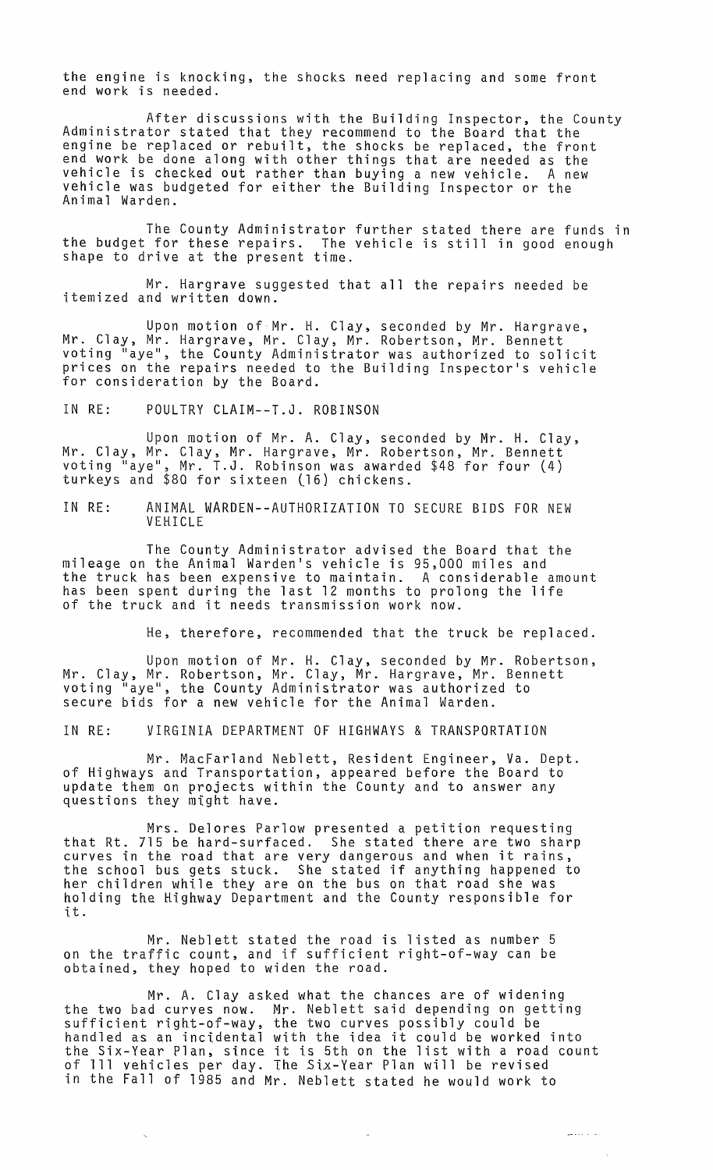the engine is knocking, the shocks need replacing and some front end work is needed.

After discussions with the Building Inspector, the County<br>Administrator stated that they recommend to the Board that the engine be replaced or rebuilt, the shocks be replaced, the front end work be done along with other things that are needed as the vehicle is checked out rather than buying a new vehicle. A new vehicle was budgeted for either the Building Inspector or the Animal Warden.

The County Administrator further stated there are funds in the budget for these repairs. The vehicle is still in good enough shape to drive at the present time.

Mr. Hargrave suggested that all the repairs needed be itemized and written down.

Upon motion of  $Mr.$  H. Clay, seconded by Mr. Hargrave, Mr. Clay, Mr. Hargrave, Mr. Clay, Mr. Robertson, Mr. Bennett voting "aye", the County Administrator was authorized to solicit prices on the repairs needed to the Building Inspector's vehicle for consideration by the Board.

IN RE: POULTRY CLAIM--T.J. ROBINSON

Upon motion of Mr. A. Clay, seconded by Mr. H. Clay, Mr. Clay, Mr. Clay, Mr. Hargrave, Mr. Robertson, Mr. Bennett voting "aye", Mr. T.J. Robinson was awarded \$48 for four (4) turkeys and \$80 for sixteen (16) chickens.

IN RE: ANIMAL WARDEN--AUTHORIZATION TO SECURE BIDS FOR NEW VEHICLE

The County Administrator advised the Board that the mileage on the Animal Warden's vehicle is 95,000 miles and the truck has been expensive to maintain. A considerable amount has been spent during the last 12 months to prolong the life of the truck and it needs transmission work now.

He, therefore, recommended that the truck be replaced.

Upon motion of Mr. H. Clay, seconded by Mr. Robertson, Mr. Clay, Mr. Robertson, Mr. Clay, Mr. Hargrave, Mr. Bennett voting "aye", the County Admini.strator was authorized to secure bids for a new vehicle for the Animal Warden.

IN RE: VIRGINIA DEPARTMENT OF HIGHWAYS & TRANSPORTATION

Mr. MacFarland Neblett, Resident Engineer, Va. Dept. of Highways and Transportation, appeared before the Board to update them on projects within the County and to answer any questions they might have.

Mrs. Delores Parlow presented a petition requesting that Rt. 715 be hard-surfaced. She stated there are two sharp curves in the road that are very dangerous and when it rains, the school bus gets stuck. She stated if anything happened to her children while they are on the bus on that road she was holding the Highway Department and the County responsible for it.

Mr. Neblett stated the road is listed as number 5 on the traffic count, and if sufficient right-of-way can be obtained, they hoped to widen the road.

Mr. A. Clay asked what the chances are of widening the two bad curves now. Mr. Neblett said depending on getting sufficient right-of-way, the two curves possibly could be suilicient right-of-way, the two curves possibly could be<br>handled as an incidental with the idea it could be worked into the Six-Year Plan, since it is 5th on the list with a road count of 111 vehicles per day. The Six-Year Plan will be revised in the Fall of 1985 and Mr. Neblett stated he would work to

 $\omega_{\rm{max}}(x,y) = \omega_{\rm{max}}(x,y)$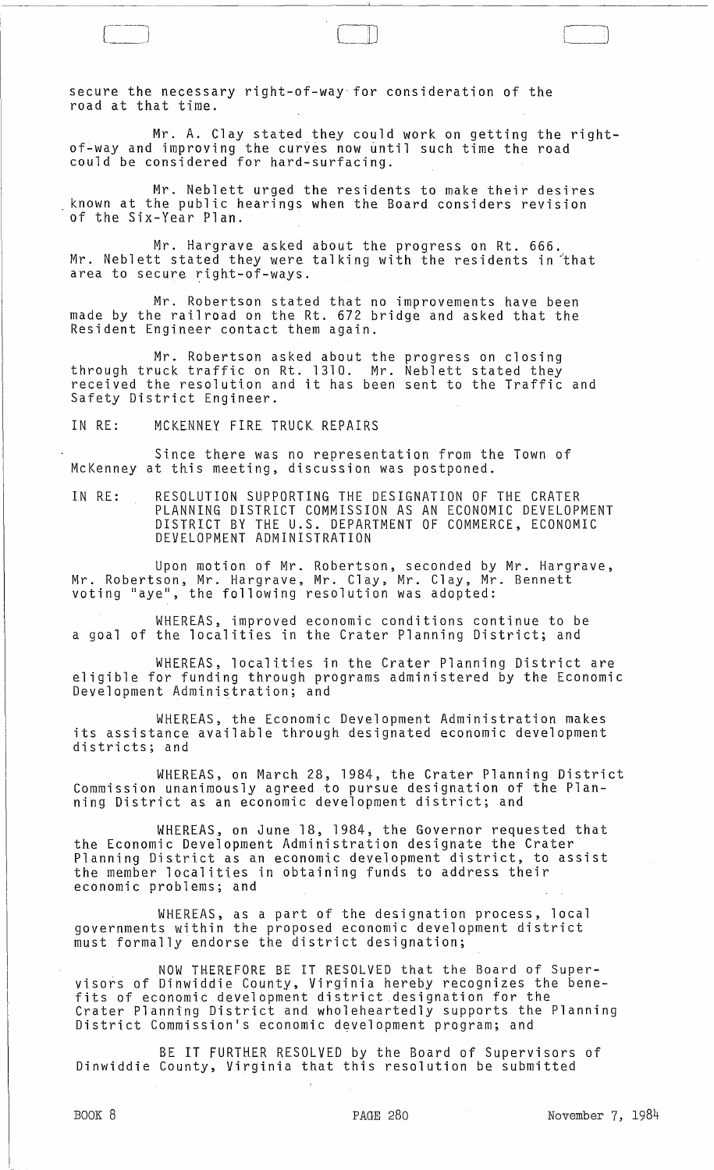secure the necessary right-of-way-for consideration of the road at that time.

Mr. A. Clay stated they could work on getting the rightof-way and improving the curves now until such time the road could be considered for hard-surfacing.

 $\Box$ 

 $\Box$ 

Mr. Neblett urged the residents to make their desires known at the public hearings when the Board considers revision of the Six-Year Plan.

Mr. Hargrave asked about the progress on Rt. 666. Mr. Neblett stated they were talking with the residents in that area to secure right-of-ways.

Mr. Robertson stated that no improvements have been made by the railroad on the Rt. 672 bridge and asked that the Resident Engineer contact them again.

Mr. Robertson asked about the progress on closing through truck traffic on Rt. 1310. Mr. Neblett stated they received the resolution and it has been sent to the Traffic and Safety District Engineer.

IN RE: MCKENNEY FIRE TRUCK REPAIRS

Since there was no representation from the Town of McKenney at this meeting, discussion was postponed.

IN RE: RESOLUTION SUPPORTING THE DESIGNATION OF THE CRATER PLANNING DISTRICT COMMISSION AS AN ECONOMIC DEVELOPMENT DISTRICT BY THE U.S. DEPARTMENT OF COMMERCE, ECONOMIC DEVELOPMENT ADMINISTRATION

Upon motion of Mr. Robertson, seconded by Mr. Hargrave, Mr. Robertson, Mr. Hargrave, Mr. Clay, Mr. Clay, Mr. Bennett voting lIaye ll , the following resolution was adopted:

WHEREAS, improved economic conditions continue to be a goal of the localities in the Crater Planning District; and

WHEREAS, localities in the Crater Planning District are eligible for funding through programs administered by the Economic Development Administration; and

WHEREAS, the Economic Development Administration makes its assistance available through designated economic development districts; and

WHEREAS, on March 28, 1984, the Crater Planning District Commission unanimously agreed to pursue designation of the Planning District as an economic development district; and

WHEREAS, on June 18, 1984, the Governor requested that the Economic Development Administration designate the Crater Planning District as an economic development district, to assist the member localities in obtaining funds to address their economic problems; and

WHEREAS, as a part of the designation process, local governments within the proposed economic development district must formally endorse the district designation;

NOW THEREFORE BE IT RESOLVED that the Board of Super- visors of Dinwiddie County, Virginia hereby recognizes the benefits of economic development district designation for the Crater Planning District and wholeheartedly supports the Planning District Commission's economic development program; and

BE IT FURTHER RESOLVED by the Board of Supervisors of Dinwiddie County, Virginia that this resolution be submitted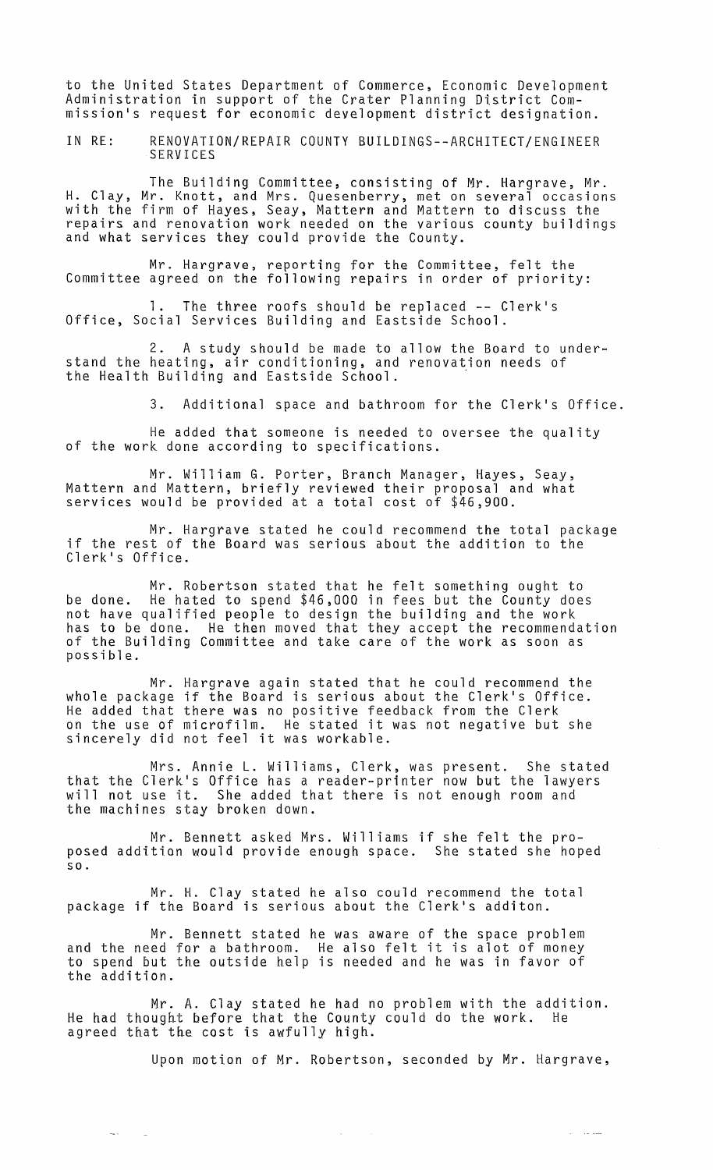to the United States Department of Commerce, Economic Development Administration in support of the Crater Planning District Commission's request for economic development district designation.

IN RE: RENOVATION/REPAIR COUNTY BUILDINGS--ARCHITECT/ENGINEER SERVICES

The Building Committee, consisting of Mr. Hargrave, Mr. H. Clay, Mr. Knott, and Mrs. Quesenberry, met on several occasions with the firm of Hayes, Seay, Mattern and Mattern to discuss the repairs and renovation work needed on the various county buildings and what services they could provide the County.

Mr. Hargrave, reporting for the Committee, felt the Committee agreed on the following repairs in order of priority:

1. The three roofs should be replaced -- Clerk's Office, Social Services Building and Eastside School.

2. A study should be made to allow the Board to understand the heating, air conditioning, and renovation needs of the Health Building and Eastside School. .

3. Additional space and bathroom for the Clerk's Office.

He added that someone is needed to oversee the quality of the work done according to specifications.

Mr. William G. Porter, Branch Manager, Hayes, Seay, Mattern and Mattern, briefly reviewed their proposal and what services would be provided at a total cost of \$46,900.

Mr. Hargrave stated he could recommend the total package if the rest of the Board was serious about the addition to the Clerk's Office.

Mr. Robertson stated that he felt something ought to be done. He hated to spend \$46,000 in fees but the County does not have qualified people to design the building and the work has to be done. He then moved that they accept the recommendation of the Building Committee and take care of the work as soon as possible.

Mr. Hargrave again stated that he could recommend the whole package if the Board is serious about the Clerk's Office. He added that there was no positive feedback from the Clerk on the use of microfilm. He stated it was not negative but she sincerely did not feel it was workable.

Mrs. Annie L. Williams, Clerk, was present. She stated that the Clerk's Office has a reader-printer now but the lawyers will not use it. She added that there is not enough room and the machines stay broken down.

Mr. Bennett asked Mrs. Williams if she felt the proposed addition would provide enough space. She stated she hoped so.

Mr. H. Clay stated he also could recommend the total package if the Board is serious about the Clerk's additon.

Mr. Bennett stated he was aware of the space problem and the need for a bathroom. He also felt it is alot of money to spend but the outside help is needed and he was in favor of the addition.

Mr. A. Clay stated he had no problem with the addition.<br>ught before that the County could do the work. He He had thought before that the County could do the work. agreed that the cost is awfully high.

 $\sim 10^7$ 

 $\sim$   $<$ 

Upon motion of Mr. Robertson, seconded by Mr. Hargrave,

ستدعد المد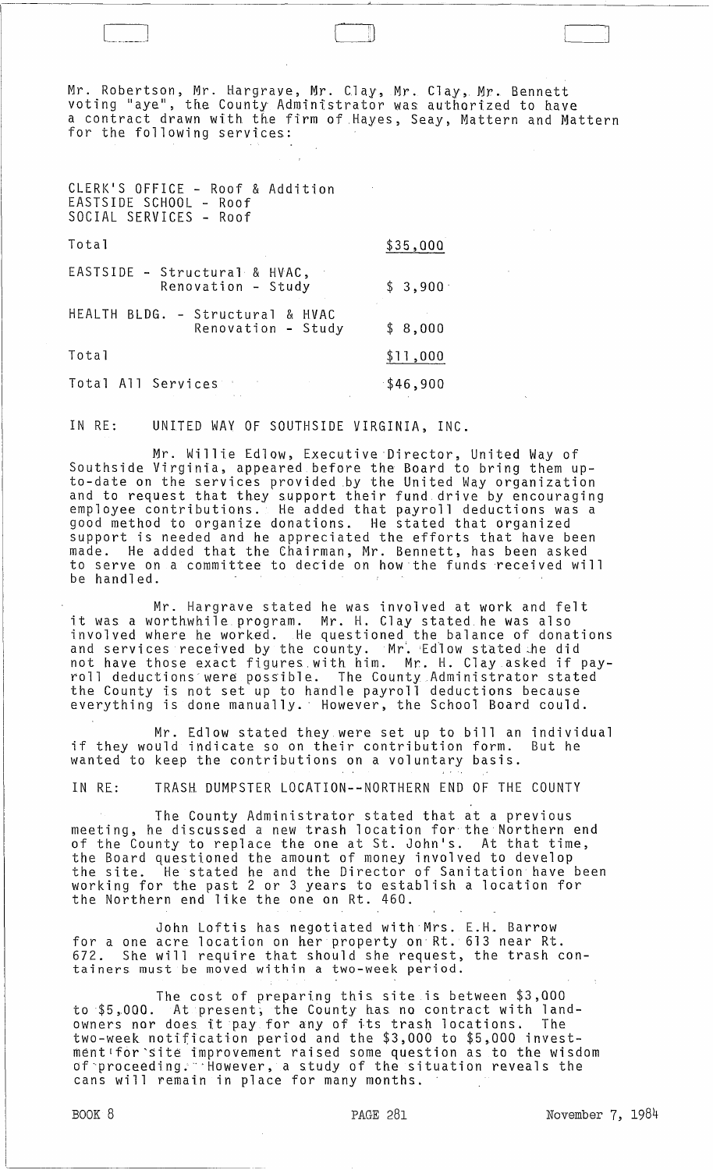Mr. Robertson, Mr. Hargrave, Mr. Clay, Mr. Clay, Mr. Bennett voting "aye", the County Administrator was authorized to have a contract drawn with the firm of Hayes, Seay, Mattern and Mattern for the following services:

| CLERK'S OFFICE - Roof & Addition<br>EASTSIDE SCHOOL - Roof<br>SOCIAL SERVICES - Roof |          |
|--------------------------------------------------------------------------------------|----------|
| Total                                                                                | \$35,000 |
| EASTSIDE - Structural & HVAC,<br>Renovation - Study                                  | \$3,900  |
| HEALTH BLDG. - Structural & HVAC<br>Renovation - Study                               | \$8,000  |
| Total                                                                                | \$11,000 |
| Total All Services                                                                   | \$46,900 |

IN RE: UNITED WAY OF SOUTHSIDE VIRGINIA, INC.

Mr. Willie Edlow, Executive 'Director, United Way of Southside Virginia, appeared before the Board to bring them upto-date on the services provided by the United Way organization and to request that they support their fund drive by encouraging employee contributions. He added that payroll deductions was a good method to organize donations. He stated that organized support is needed and he appreciated the efforts that have been made. He added that the Chairman, Mr. Bennett, has been asked to serve on a committee to decide on how the funds 'received will be handled.

Mr. Hargrave stated he was involved at work and felt it was a worthwhile program. Mr. H. Clay stated he was also involved where he worked. He questioned the balance of donations and services received by the county. Mr. Edlow stated he did not have those exact figures with him. Mr. H. Clay asked if payroll deductions' were possible. The County Administrator stated the County is not set up to handle payroll deductions because everything is done manually.' However, the School Board could.

Mr. Edlow stated they were set up to bill an individual if they would indicate so on their contribution form. But he wanted to keep the contributions on a voluntary basis.

IN RE: TRASH DUMPSTER LOCATION--NORTHERN END OF THE COUNTY

The County Administrator stated that at a previous meeting, he discussed a new trash location for the Northern end of the County to replace the one at St. John's. At that time, the Board questioned the amount of money involved to develop the site. He stated he and the Director of Sanitation have been working for the past 2 or 3 years to establish a location for the Northern end like the one on Rt. 460.

John Loftis has negotiated with Mrs. E.H. Barrow for a one acre location on her property on' Rt. 613 near Rt. 672. She will require that should she request, the trash containers must be moved within a two-week period.

The cost of preparing this site is between \$3,000 to \$5,000. At present, the County has no contract with landowners nor does it pay for any of its trash locations. The two-week notification period and the \$3,000 to \$5,000 investment1for'site improvement raised some question as to the wisdom of-proceeding:"'However, a study of the situation reveals the cans will remain in place for many months.

L----'-Jl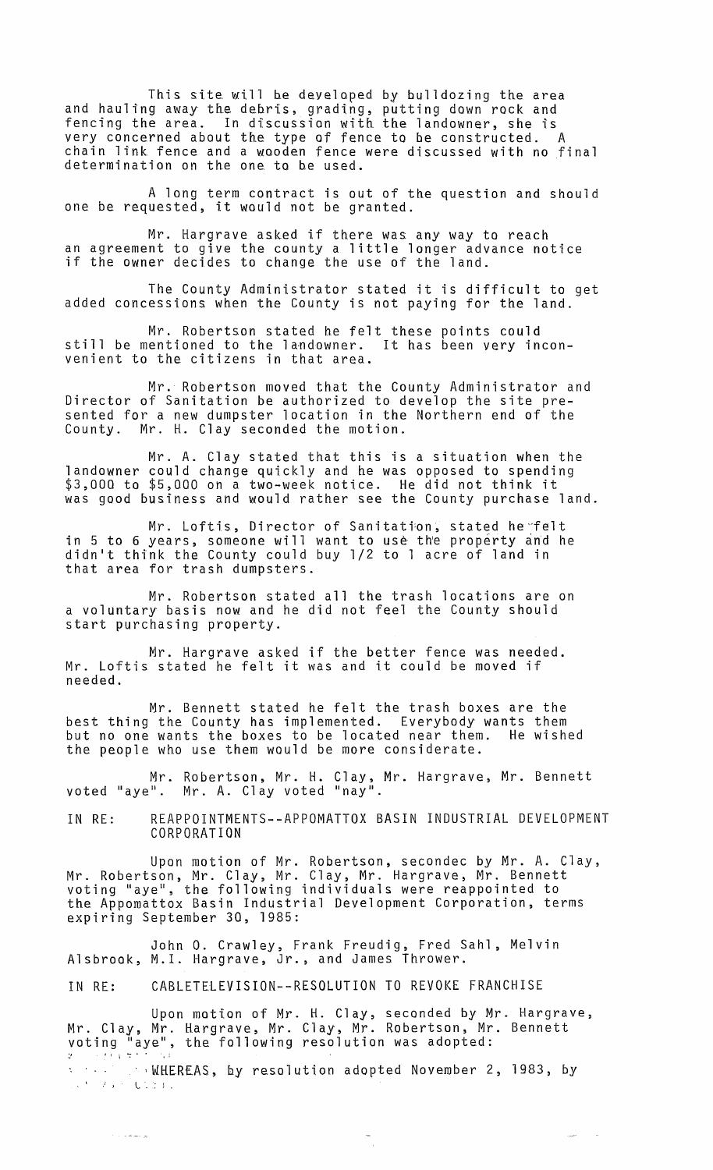This site will be developed by bulldozing the area and hauling away the debris, grading, putting down rock and fencing the area. In discussion with the landowner, she is very concerned about the type of fence to be constructed. A chain link fence and a wooden fence were discussed with no final determination on the one to be used.

A long term contract is out of the question and should one be requested, it would not be granted.

Mr. Hargrave asked if there was any way to reach an agreement to give the county a little longer advance notice an agreement to give the esanty a rittle ronger adv<br>if the owner decides to change the use of the land.

The County Administrator stated it is difficult to get added concessions when the County is not paying for the land.

Mr. Robertson stated he felt these points could<br>entioned to the landowner. It has been very inconstill be mentioned to the landowner. venient to the citizens in that area.

Mr. Robertson moved that the County Administrator and Director of Sanitation be authorized to develop the site presented for a new dumpster location in the Northern end of the County. Mr. H. Clay seconded the motion.

Mr. A. Clay stated that this is a situation when the landowner could change quickly and he was opposed to spending \$3,000 to \$5,000 on a two-week notice. He did not think it was good business and would rather see the County purchase land.

Mr. Loftis, Director of Sanitation, stated he felt in 5 to 6 years, someone will want to use the property and he didn't think the County could buy 1/2 to 1 acre of land in that area for trash dumpsters.

Mr. Robertson stated all the trash locations are on a voluntary basis now and he did not feel the County should start purchasing property.

Mr. Hargrave asked if the better fence was needed. Mr. Loftis stated he felt it was and it could be moved if needed.

Mr. Bennett stated he felt the trash boxes are the best thing the County has implemented. Everybody wants them<br>but no one wants the boxes to be located near them. He wished but no one wants the boxes to be located near them. the people who use them would be more considerate.

Mr. Robertson, Mr. H. Clay, Mr. Hargrave, Mr. Bennett voted "aye". Mr. A. Cl ay voted "nay".

IN RE: REAPPOINTMENTS--APPOMATTOX BASIN INDUSTRIAL DEVELOPMENT CORPORATION

Upon motion of Mr. Robertson, secondec by Mr. A. Clay, Mr. Robertson, Mr. Clay, Mr. Clay, Mr. Hargrave, Mr. Bennett voting "aye", the following individuals were reappointed to the Appomattox Basin Industrial Development Corporation, terms expiring September 30, 1985:

John O. Crawley, Frank Freudig, Fred Sahl, Melvin Alsbrook, M.l. Hargrave, Jr., and James Thrower.

IN RE: CABLETELEVISION--RESOLUTION TO REVOKE FRANCHISE

Upon motton of Mr. H. Clay, seconded by Mr. Hargrave, Mr. Clay, Mr. Hargrave, Mr. Clay, Mr. Robertson, Mr. Bennett voting "aye", the following resolution was adopted:

. ,WHEREAS, by resolution adopted November 2, 1983, by  $\mathbf{x} \in \mathcal{F}(\mathbf{x}, \mathbf{y})$ Let  $\mathcal{F} \subset \mathcal{F}$  be a contribution of

لوابط مادات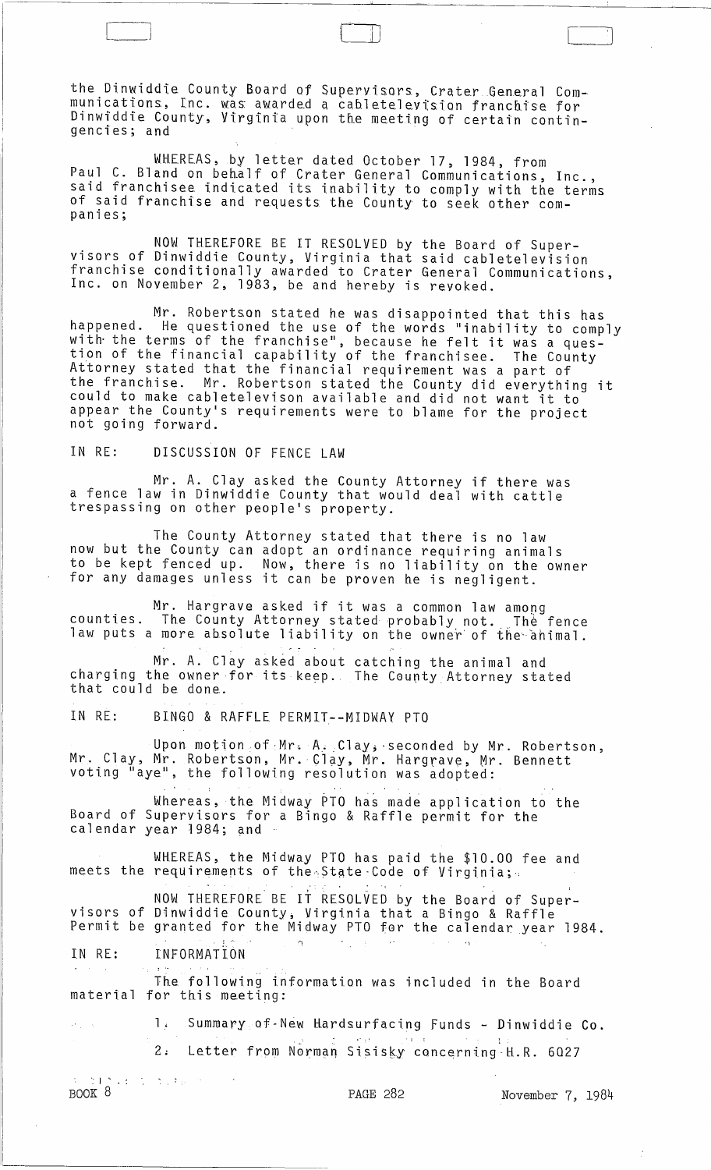the Dinwiddie County Board of Supervisors, Crater General Communications, Inc. was awarded a cabletelevtsion franchise for Dinwiddie County, Virginia upon the meeting of certain contingencies; and

 $\Box$ 

WHEREAS, by letter dated October 17, 1984, from Paul C. Bland on behalf of Crater General Communications, Inc., said franchisee indicated its inability to comply with the terms of said franchise and requests the County to seek other companies;

NOW THEREFORE BE IT RESOLVED by the Board of Supervisors of Dinwiddie County, Virginia that said cabletelevision franchise conditionally awarded to Crater General Communications, Inc. on November 2, 1983, be and hereby is revoked.

Mr. Robertson stated he was disappointed that this has happened. He questioned the use of the words "inability to comply<br>with the terms of the franchise", because he felt it was a ques-<br>tion of the financial canchility, because he felt it was a question of the financial capability of the franchisee. The County Attorney stated that the financial requirement was a part of the franchise. Mr. Robertson stated the County did everything it could to make cabletelevison available and did not want it to appear the County's requirements were to blame for the project not going forward.

IN RE: DISCUSSION OF FENCE LAW

Mr. A. Clay asked the County Attorney if there was a fence law in Dinwiddie County that would deal with cattle trespassing on other people's property.

The County Attorney stated that there is no law now but the County can adopt an ordinance requiring animals to be kept fenced up. Now, there is no liability on the owner for any damages unless it can be proven he is negligent.

Mr. Hargrave asked if it was a common law among<br>counties. The County Attorney stated probably not. <sub>.</sub> The fence councies. The county Accorney stated probably not. The fence

Mr. A. Clay asked about catching the animal and charging the owner for its keep. The County Attorney stated that could be done.

IN RE: BINGO & RAFFLE PERMIT--MIDWAY PTO

Upon motion of Mr. A., Clay, seconded by Mr. Robertson, Mr. Clay, Mr. Robertson, Mr.-Clay, Mr. Hargrave, Mr. Bennett voting "aye", the following resolution was adopted:

Whereas, the Midway PTO has made application to the Board of Supervisors for a Bingo & Raffle permit for the calendar year 1984; and

WHEREAS, the Midway PTO has paid the \$10.00 fee and meets the requirements of the State-Code of Virginia; ,- .

NOW THEREFORE BE IT RESOLVED by the Board of Super- visors of Dinwiddie County~ Virginia that a Bingo & Raffle Permit be granted for the Midway PTO for the calendar year 1984.  $\mathsf{n}$  . In the set of the set of the set of the set of  $\mathsf{n}$ 

IN RE: INFORMATION

The following information was included in the Board material for this meeting:

> 1. Summary of-New Hardsurfacing Funds - Dinwiddie Co.<br>2. Letter from Norman Sisisky concerning H R 6027 Letter from Norman Sisisky concerning H.R. 6027

 $\begin{array}{ll} \mathbb{E} \left[ \begin{array}{ccc} \mathbb{E} \left[ \mathbb{E} \left[ \mathbb{E} \left[ \mathbb{E} \left[ \mathbb{E} \left[ \mathbb{E} \left[ \mathbb{E} \left[ \mathbb{E} \left[ \mathbb{E} \left[ \mathbb{E} \left[ \mathbb{E} \left[ \mathbb{E} \left[ \mathbb{E} \left[ \mathbb{E} \left[ \mathbb{E} \left[ \mathbb{E} \left[ \mathbb{E} \left[ \mathbb{E} \left[ \mathbb{E} \left[ \mathbb{E} \left[ \mathbb{E} \left[ \mathbb{E} \left$ 

PAGE 282 November 7, 1984